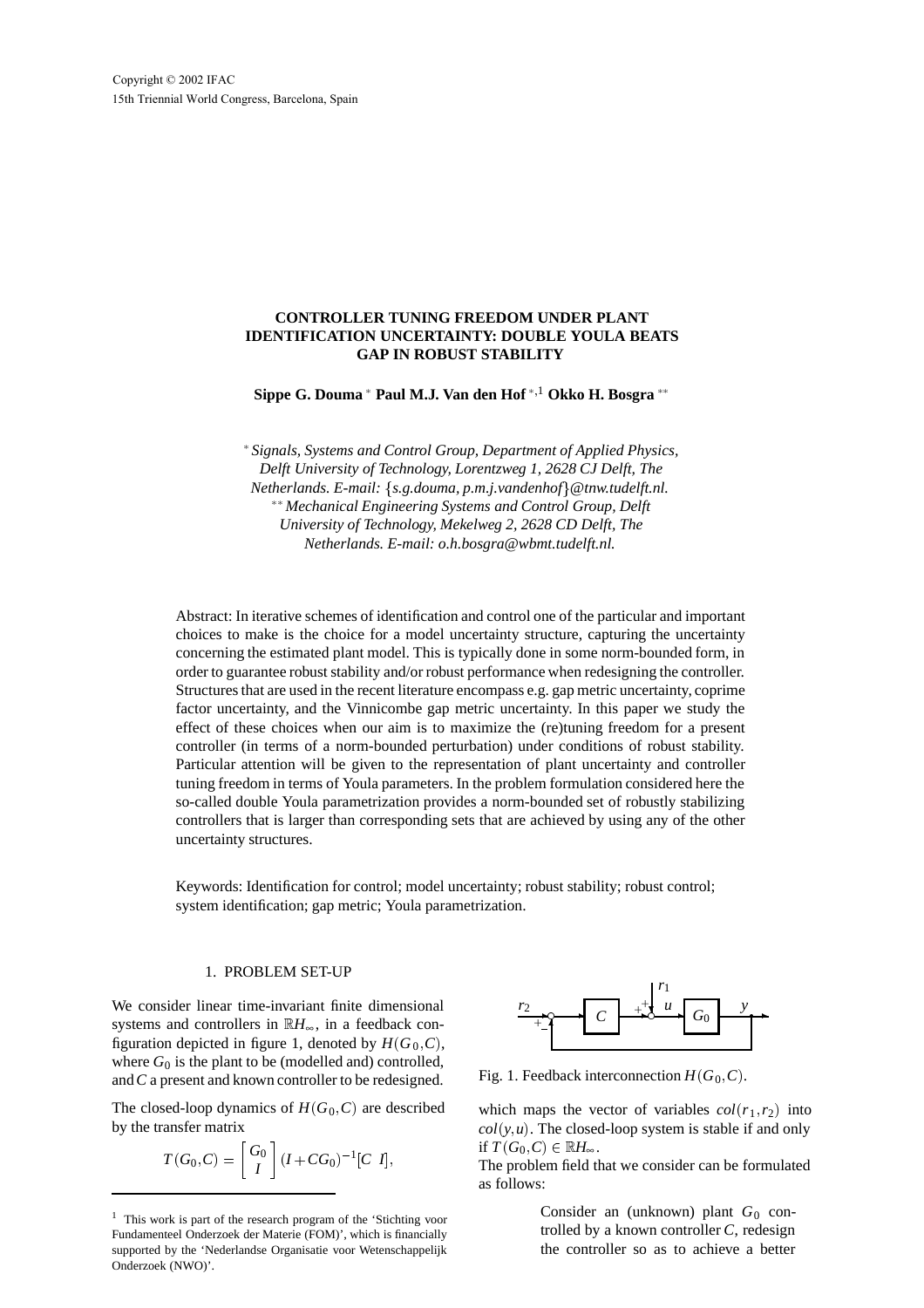Copyright © 2002 IFAC 15th Triennial World Congress, Barcelona, Spain

## **CONTROLLER TUNING FREEDOM UNDER PLANT IDENTIFICATION UNCERTAINTY: DOUBLE YOULA BEATS GAP IN ROBUST STABILITY**

 $\mathbf{Sippe}\ \mathbf{G.} \ \mathbf{Downa} \ ^* \ \mathbf{Paul}\ \mathbf{M. J.} \ \mathbf{Van}\ \mathbf{den}\ \mathbf{Hof} \ ^{*,1} \ \mathbf{Okko}\ \mathbf{H.} \ \mathbf{Bosgra} \ ^{**}$ 

 *Signals, Systems and Control Group, Department of Applied Physics, Delft University of Technology, Lorentzweg 1, 2628 CJ Delft, The Netherlands. E-mail:* f*s.g.douma, p.m.j.vandenhof*g*@tnw.tudelft.nl. Mechanical Engineering Systems and Control Group, Delft University of Technology, Mekelweg 2, 2628 CD Delft, The Netherlands. E-mail: o.h.bosgra@wbmt.tudelft.nl.*

Abstract: In iterative schemes of identification and control one of the particular and important choices to make is the choice for a model uncertainty structure, capturing the uncertainty concerning the estimated plant model. This is typically done in some norm-bounded form, in order to guarantee robust stability and/or robust performance when redesigning the controller. Structures that are used in the recent literature encompass e.g. gap metric uncertainty, coprime factor uncertainty, and the Vinnicombe gap metric uncertainty. In this paper we study the effect of these choices when our aim is to maximize the (re)tuning freedom for a present controller (in terms of a norm-bounded perturbation) under conditions of robust stability. Particular attention will be given to the representation of plant uncertainty and controller tuning freedom in terms of Youla parameters. In the problem formulation considered here the so-called double Youla parametrization provides a norm-bounded set of robustly stabilizing controllers that is larger than corresponding sets that are achieved by using any of the other uncertainty structures.

Keywords: Identification for control; model uncertainty; robust stability; robust control; system identification; gap metric; Youla parametrization.

#### 1. PROBLEM SET-UP

We consider linear time-invariant finite dimensional systems and controllers in  $\mathbb{R}H_{\infty}$ , in a feedback configuration depicted in figure 1, denoted by  $H(G_0, C)$ , where  $G_0$  is the plant to be (modelled and) controlled, and*C* a present and known controller to be redesigned.

The closed-loop dynamics of  $H(G_0, C)$  are described by the transfer matrix

$$
T(G_0, C) = \begin{bmatrix} G_0 \\ I \end{bmatrix} (I + CG_0)^{-1} [C \ I],
$$



Fig. 1. Feedback interconnection  $H(G_0, C)$ .

which maps the vector of variables  $col(r_1, r_2)$  into  $col(y, u)$ . The closed-loop system is stable if and only if  $T(G_0, C) \in \mathbb{R}$ *H*<sub>∞</sub>.

The problem field that we consider can be formulated as follows:

> Consider an (unknown) plant G<sub>0</sub> controlled by a known controller *C*, redesign the controller so as to achieve a better

<sup>&</sup>lt;sup>1</sup> This work is part of the research program of the 'Stichting voor Fundamenteel Onderzoek der Materie (FOM)', which is financially supported by the 'Nederlandse Organisatie voor Wetenschappelijk Onderzoek (NWO)'.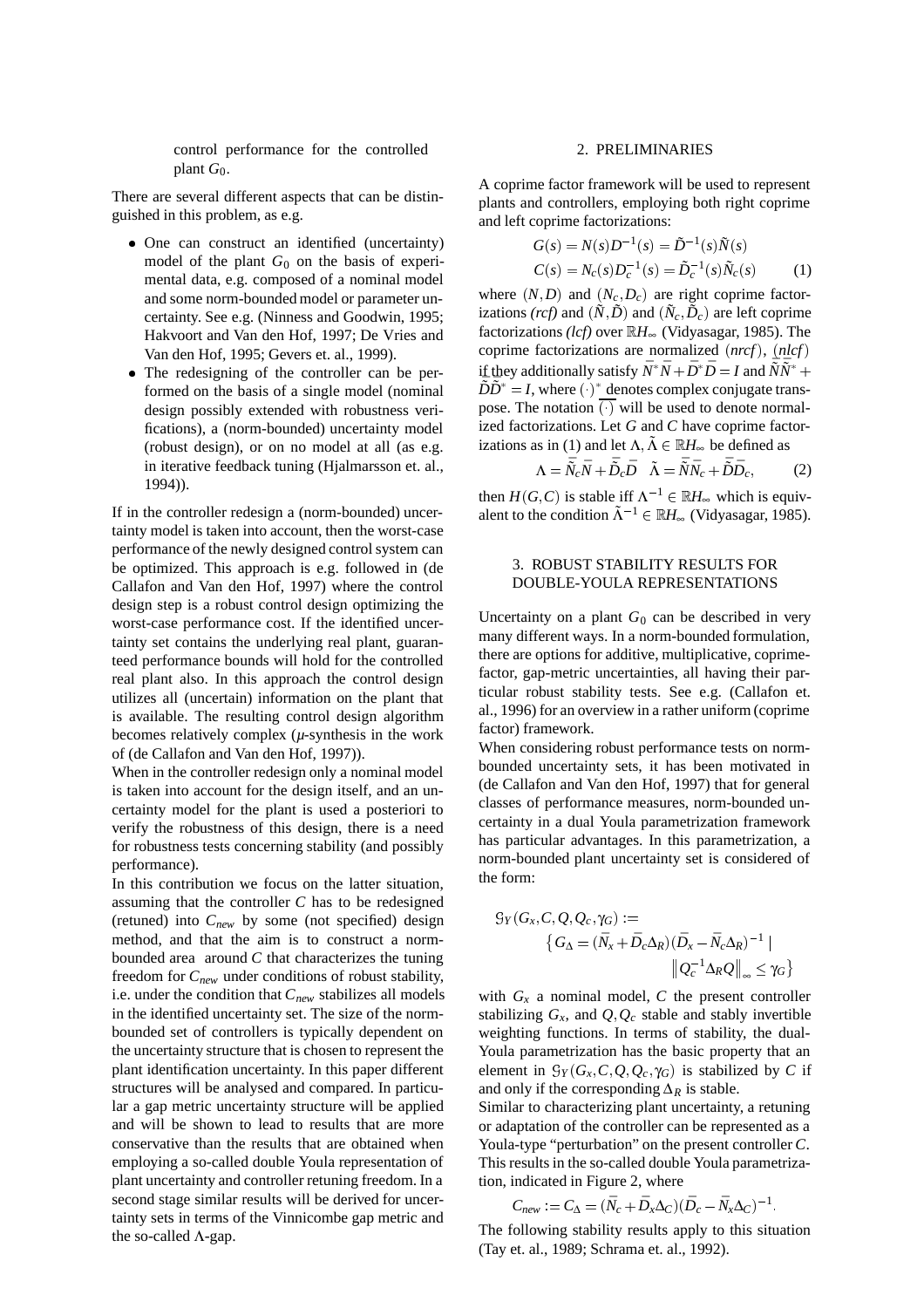control performance for the controlled plant  $G_0$ .

There are several different aspects that can be distinguished in this problem, as e.g.

- One can construct an identified (uncertainty) model of the plant  $G_0$  on the basis of experimental data, e.g. composed of a nominal model and some norm-bounded model or parameter uncertainty. See e.g. (Ninness and Goodwin, 1995; Hakvoort and Van den Hof, 1997; De Vries and Van den Hof, 1995; Gevers et. al., 1999).
- The redesigning of the controller can be performed on the basis of a single model (nominal design possibly extended with robustness verifications), a (norm-bounded) uncertainty model (robust design), or on no model at all (as e.g. in iterative feedback tuning (Hjalmarsson et. al., 1994)).

If in the controller redesign a (norm-bounded) uncertainty model is taken into account, then the worst-case performance of the newly designed control system can be optimized. This approach is e.g. followed in (de Callafon and Van den Hof, 1997) where the control design step is a robust control design optimizing the worst-case performance cost. If the identified uncertainty set contains the underlying real plant, guaranteed performance bounds will hold for the controlled real plant also. In this approach the control design utilizes all (uncertain) information on the plant that is available. The resulting control design algorithm becomes relatively complex (*µ*-synthesis in the work of (de Callafon and Van den Hof, 1997)).

When in the controller redesign only a nominal model is taken into account for the design itself, and an uncertainty model for the plant is used a posteriori to verify the robustness of this design, there is a need for robustness tests concerning stability (and possibly performance).

In this contribution we focus on the latter situation, assuming that the controller *C* has to be redesigned (retuned) into *Cnew* by some (not specified) design method, and that the aim is to construct a normbounded area around *C* that characterizes the tuning freedom for *Cnew* under conditions of robust stability, i.e. under the condition that  $C_{new}$  stabilizes all models in the identified uncertainty set. The size of the normbounded set of controllers is typically dependent on the uncertainty structure that is chosen to represent the plant identification uncertainty. In this paper different structures will be analysed and compared. In particular a gap metric uncertainty structure will be applied and will be shown to lead to results that are more conservative than the results that are obtained when employing a so-called double Youla representation of plant uncertainty and controller retuning freedom. In a second stage similar results will be derived for uncertainty sets in terms of the Vinnicombe gap metric and the so-called  $\Lambda$ -gap.

# 2. PRELIMINARIES

A coprime factor framework will be used to represent plants and controllers, employing both right coprime and left coprime factorizations:

$$
G(s) = N(s)D^{-1}(s) = \tilde{D}^{-1}(s)\tilde{N}(s)
$$
  
\n
$$
C(s) = N_c(s)D_c^{-1}(s) = \tilde{D}_c^{-1}(s)\tilde{N}_c(s)
$$
 (1)

where  $(N, D)$  and  $(N_c, D_c)$  are right coprime factorizations *(rcf)* and  $(\tilde{N}, \tilde{D})$  and  $(\tilde{N}_c, \tilde{D}_c)$  are left coprime factorizations *(lcf)* over <sup>R</sup>*H*∞ (Vidyasagar, 1985). The coprime factorizations are normalized (*nrcf* ), (*nlcf* ) if they additionally satisfy  $\bar{N}^* \bar{N} + \bar{D}^* \bar{D} = I$  and  $\bar{\bar{N}} \bar{\bar{N}}^* +$  $\overline{D} \overline{D}^* = I$ , where ( $\overline{O}$ )<sup>\*</sup> denotes complex conjugate transpose. The notation  $\overline{(\cdot)}$  will be used to denote normalized factorizations. Let *G* and *C* have coprime factorizations as in (1) and let  $\Lambda$ ,  $\tilde{\Lambda} \in \mathbb{R}$ *H*<sub>∞</sub> be defined as

$$
\Lambda = \bar{\tilde{N}}_c \bar{N} + \bar{\tilde{D}}_c \bar{D} \quad \tilde{\Lambda} = \bar{\tilde{N}} \bar{N}_c + \bar{\tilde{D}} \bar{D}_c, \tag{2}
$$

then  $H(G, C)$  is stable iff  $\Lambda^{-1} \in \mathbb{R}$ *H*<sub>∞</sub> which is equivalent to the condition  $\tilde{\Lambda}^{-1} \in \mathbb{R}$ *H*<sub>∞</sub> (Vidyasagar, 1985).

### 3. ROBUST STABILITY RESULTS FOR DOUBLE-YOULA REPRESENTATIONS

Uncertainty on a plant  $G_0$  can be described in very many different ways. In a norm-bounded formulation, there are options for additive, multiplicative, coprimefactor, gap-metric uncertainties, all having their particular robust stability tests. See e.g. (Callafon et. al., 1996) for an overview in a rather uniform (coprime factor) framework.

When considering robust performance tests on normbounded uncertainty sets, it has been motivated in (de Callafon and Van den Hof, 1997) that for general classes of performance measures, norm-bounded uncertainty in a dual Youla parametrization framework has particular advantages. In this parametrization, a norm-bounded plant uncertainty set is considered of the form:

$$
G_Y(G_X, C, Q, Q_c, \gamma_G) :=\n\begin{cases}\nG_\Delta = (\bar{N}_x + \bar{D}_c \Delta_R)(\bar{D}_x - \bar{N}_c \Delta_R)^{-1} \mid \\
|Q_c^{-1} \Delta_R Q||_{\infty} \leq \gamma_G\n\end{cases}
$$

with  $G_x$  a nominal model,  $C$  the present controller stabilizing  $G_x$ , and  $Q_xQ_y$  stable and stably invertible weighting functions. In terms of stability, the dual-Youla parametrization has the basic property that an element in  $\mathcal{G}_Y(G_X, C, Q, Q_c, \gamma_G)$  is stabilized by *C* if and only if the corresponding  $\Delta_R$  is stable.

Similar to characterizing plant uncertainty, a retuning or adaptation of the controller can be represented as a Youla-type "perturbation" on the present controller *C*. This results in the so-called double Youla parametrization, indicated in Figure 2, where

$$
C_{new} := C_{\Delta} = (\bar{N}_c + \bar{D}_x \Delta_C)(\bar{D}_c - \bar{N}_x \Delta_C)^{-1}.
$$

The following stability results apply to this situation (Tay et. al., 1989; Schrama et. al., 1992).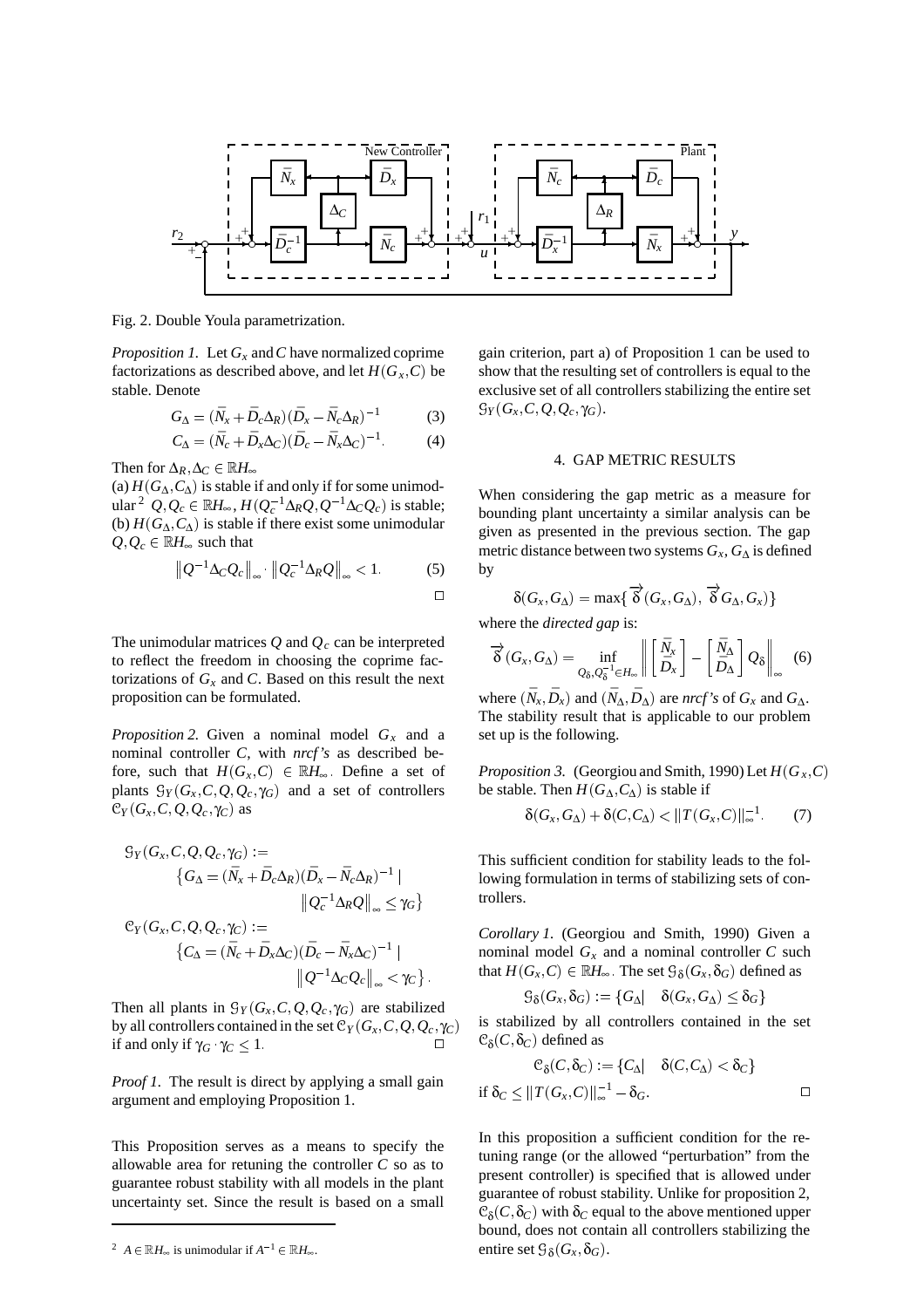

Fig. 2. Double Youla parametrization.

*Proposition 1.* Let *Gx* and*C* have normalized coprime factorizations as described above, and let  $H(G_x, C)$  be stable. Denote

$$
G_{\Delta} = (\bar{N}_x + \bar{D}_c \Delta_R)(\bar{D}_x - \bar{N}_c \Delta_R)^{-1}
$$
 (3)

$$
C_{\Delta} = (\bar{N}_c + \bar{D}_x \Delta_C)(\bar{D}_c - \bar{N}_x \Delta_C)^{-1}.
$$
 (4)

Then for  $\Delta_R$ ,  $\Delta_C \in \mathbb{R}$ *H*<sub>∞</sub>

(a)  $H(G_\Lambda, C_\Lambda)$  is stable if and only if for some unimodular<sup>2</sup>  $Q, Q_c$  ∈ ℝ $H_\infty$ ,  $H(Q_c^{-1} \Delta_R Q, Q^{-1} \Delta_C Q_c)$  is stable; (b)  $H(G_\Delta, C_\Delta)$  is stable if there exist some unimodular  $Q, Q_c \in \mathbb{R}$ *H*<sup>∞</sup> such that

$$
\left\| Q^{-1} \Delta_C Q_c \right\|_{\infty} \cdot \left\| Q_c^{-1} \Delta_R Q \right\|_{\infty} < 1. \tag{5}
$$

The unimodular matrices  $Q$  and  $Q_c$  can be interpreted to reflect the freedom in choosing the coprime factorizations of  $G<sub>x</sub>$  and *C*. Based on this result the next proposition can be formulated.

*Proposition 2.* Given a nominal model *Gx* and a nominal controller *C*, with *nrcf's* as described before, such that  $H(G_x, C) \in \mathbb{R}$ *H*<sub>∞</sub>. Define a set of plants  $\mathcal{G}_Y(G_x, C, Q, Q_c, \gamma_G)$  and a set of controllers  $C_Y$  ( $G_X$ ,  $C$ ,  $Q$ ,  $Q_c$ ,  $\gamma_C$ ) as

<sup>G</sup>*<sup>Y</sup>* (*Gx*; *C*; *Q*; *Qc* ; γ*G*) :<sup>=</sup> *G*<sup>∆</sup> = (*N*¯*<sup>x</sup>* <sup>+</sup> *D*¯ *<sup>c</sup>*∆*R*)(*D*¯ *<sup>x</sup> N*¯ *<sup>c</sup>*∆*R*)<sup>1</sup> j *Q*<sup>1</sup> *<sup>c</sup>* ∆*RQ* <sup>∞</sup> γ*<sup>G</sup>* <sup>C</sup>*<sup>Y</sup>* (*Gx*; *C*; *Q*; *Qc* ; γ*<sup>C</sup>* ) :<sup>=</sup> *C*<sup>∆</sup> = (*N*¯ *<sup>c</sup>* <sup>+</sup> *D*¯ *<sup>x</sup>*∆*C*)(*D*¯ *<sup>c</sup> N*¯ *<sup>x</sup>*∆*C*)<sup>1</sup> j *Q*1∆*CQc* <sup>∞</sup> <sup>&</sup>lt; γ*<sup>C</sup>* 

Then all plants in  $\mathcal{G}_Y(G_X, C, Q, Q_c, \gamma_G)$  are stabilized by all controllers contained in the set  $C_Y(G_X, C, Q, Q_c, \gamma_C)$ if and only if  $γ$ *C*  $γ$ *C*  $≤$  1.  $□$ 

*Proof 1.* The result is direct by applying a small gain argument and employing Proposition 1.

This Proposition serves as a means to specify the allowable area for retuning the controller *C* so as to guarantee robust stability with all models in the plant uncertainty set. Since the result is based on a small

<sup>2</sup> *A*  $\in \mathbb{R}$ *H*<sub>∞</sub> is unimodular if  $A^{-1} \in \mathbb{R}$ *H*<sub>∞</sub>.

gain criterion, part a) of Proposition 1 can be used to show that the resulting set of controllers is equal to the exclusive set of all controllers stabilizing the entire set  $\mathcal{G}_Y(G_x, C, Q, Q_c, \gamma_G).$ 

## 4. GAP METRIC RESULTS

When considering the gap metric as a measure for bounding plant uncertainty a similar analysis can be given as presented in the previous section. The gap metric distance between two systems *Gx*, *G*<sup>∆</sup> is defined by

$$
\delta(G_x,G_{\Delta})=\max\{\overrightarrow{\delta}(G_x,G_{\Delta}),\overrightarrow{\delta}G_{\Delta},G_x)\}
$$

where the *directed gap* is:

$$
\overrightarrow{\delta}(G_x, G_{\Delta}) = \inf_{Q_{\delta}, Q_{\delta}^{-1} \in H_{\infty}} \left\| \begin{bmatrix} \bar{N}_x \\ \bar{D}_x \end{bmatrix} - \begin{bmatrix} \bar{N}_{\Delta} \\ \bar{D}_{\Delta} \end{bmatrix} Q_{\delta} \right\|_{\infty} \quad (6)
$$

where  $(\bar{N}_x, \bar{D}_x)$  and  $(\bar{N}_\Delta, \bar{D}_\Delta)$  are *nrcf's* of  $G_x$  and  $G_\Delta$ . The stability result that is applicable to our problem set up is the following.

*Proposition 3.* (Georgiou and Smith, 1990) Let  $H(G_x, C)$ be stable. Then  $H(G_{\Delta}, C_{\Delta})$  is stable if

$$
\delta(G_x, G_{\Delta}) + \delta(C, C_{\Delta}) < ||T(G_x, C)||_{\infty}^{-1} \tag{7}
$$

This sufficient condition for stability leads to the following formulation in terms of stabilizing sets of controllers.

*Corollary 1.* (Georgiou and Smith, 1990) Given a nominal model  $G_x$  and a nominal controller  $C$  such that  $H(G_x, C) \in \mathbb{R}$ *H*<sup>∞</sup>. The set  $\mathcal{G}_{\delta}(G_x, \delta_G)$  defined as

$$
\c\mathcal{G}_{\delta}(G_{\rm x}, \delta_G) := \{G_{\Delta}| \quad \delta(G_{\rm x}, G_{\Delta}) \leq \delta_G\}
$$

is stabilized by all controllers contained in the set  $C<sub>δ</sub>(C, δ<sub>C</sub>)$  defined as

$$
\mathcal{C}_{\delta}(C,\delta_C) := \{C_{\Delta} | \quad \delta(C,C_{\Delta}) < \delta_C \}
$$
  
if  $\delta_C \leq ||T(G_x,C)||_{\infty}^{-1} - \delta_G.$ 

In this proposition a sufficient condition for the retuning range (or the allowed "perturbation" from the present controller) is specified that is allowed under guarantee of robust stability. Unlike for proposition 2,  $\mathcal{C}_{\delta}(C,\delta_C)$  with  $\delta_C$  equal to the above mentioned upper bound, does not contain all controllers stabilizing the entire set  $\mathcal{G}_{\delta}(G_{x}, \delta_{G}).$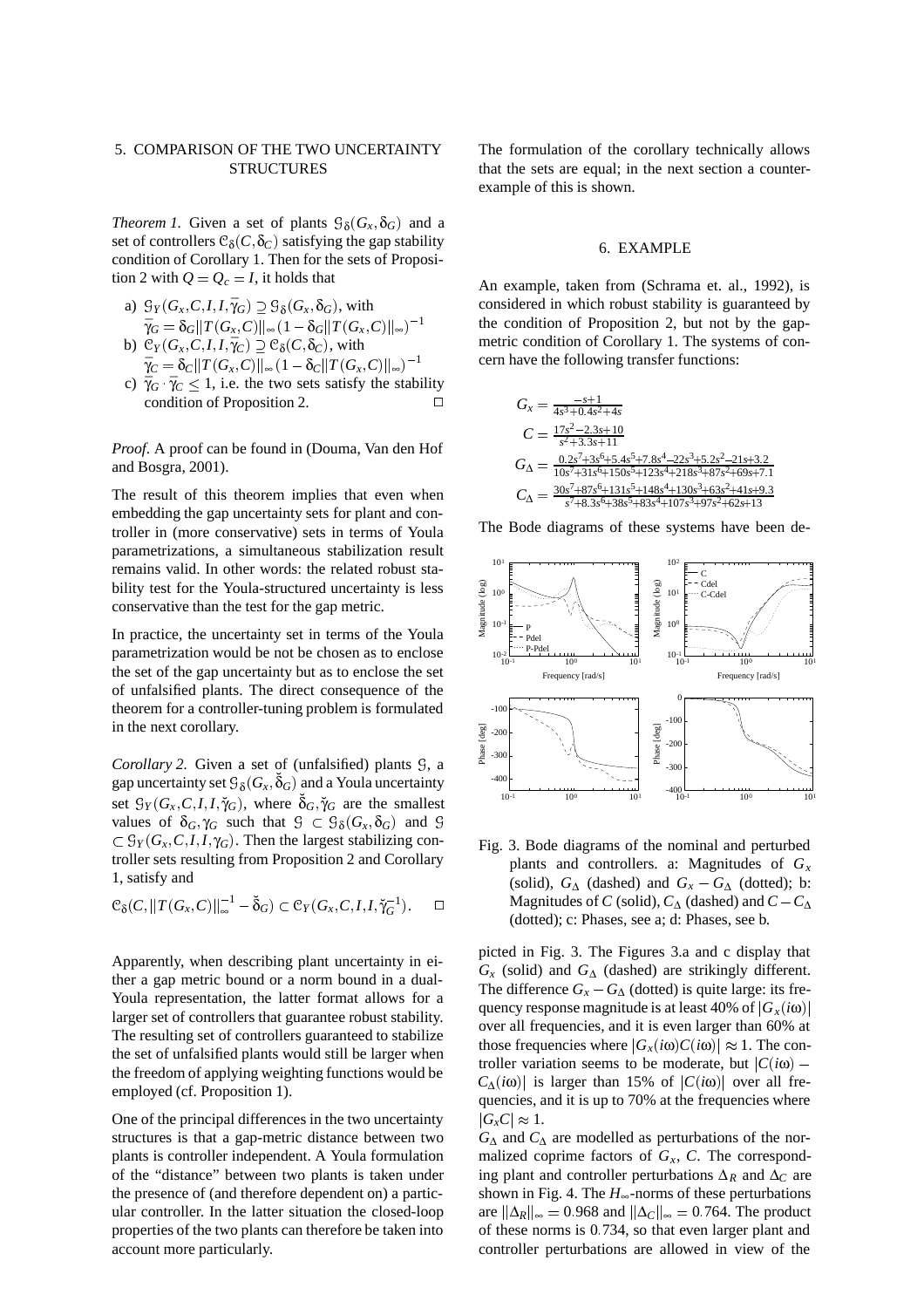# 5. COMPARISON OF THE TWO UNCERTAINTY **STRUCTURES**

*Theorem 1.* Given a set of plants  $\mathcal{G}_{\delta}(G_{x}, \delta_{G})$  and a set of controllers  $\mathcal{C}_{\delta}(C, \delta_C)$  satisfying the gap stability condition of Corollary 1. Then for the sets of Proposition 2 with  $Q = Q_c = I$ , it holds that

- a)  $\mathcal{G}_Y(G_x, C, I, I, \overline{\gamma}_G) \supseteq \mathcal{G}_\delta(G_x, \delta_G)$ , with  $\bar{\gamma}_G = \delta_G ||T(G_x, C)||_{\infty} (1 - \delta_G ||T(G_x, C)||_{\infty})^{-1}$ b)  $\mathcal{C}_Y(G_x, C, I, I, \overline{\gamma}_C) \supseteq \mathcal{C}_\delta(C, \delta_C)$ , with
- $\bar{\gamma}_C = \delta_C ||T(G_x, C)||_{\infty} (1 \delta_C ||T(G_x, C)||_{\infty})^{-1}$
- c)  $\bar{\gamma}_G$   $\bar{\gamma}_C \leq 1$ , i.e. the two sets satisfy the stability condition of Proposition 2.

*Proof*. A proof can be found in (Douma, Van den Hof and Bosgra, 2001).

The result of this theorem implies that even when embedding the gap uncertainty sets for plant and controller in (more conservative) sets in terms of Youla parametrizations, a simultaneous stabilization result remains valid. In other words: the related robust stability test for the Youla-structured uncertainty is less conservative than the test for the gap metric.

In practice, the uncertainty set in terms of the Youla parametrization would be not be chosen as to enclose the set of the gap uncertainty but as to enclose the set of unfalsified plants. The direct consequence of the theorem for a controller-tuning problem is formulated in the next corollary.

*Corollary 2.* Given a set of (unfalsified) plants  $\mathcal{G}$ , a gap uncertainty set  $\mathcal{G}_{\delta}(G_{x},\check{\delta}_{G})$  and a Youla uncertainty set  $\mathcal{G}_Y(G_X, C, I, I, \breve{\gamma}_G)$ , where  $\breve{\delta}_G, \breve{\gamma}_G$  are the smallest values of  $\delta_G$ ,  $\gamma_G$  such that  $\mathcal{G} \subset \mathcal{G}_{\delta}(G_x, \delta_G)$  and  $\mathcal{G}$  $\subset \mathcal{G}_Y(G_x, C, I, I, \gamma_G)$ . Then the largest stabilizing controller sets resulting from Proposition 2 and Corollary 1, satisfy and

$$
\mathcal{C}_{\delta}(C, ||T(G_x, C)||_{\infty}^{-1} - \check{\delta}_G) \subset \mathcal{C}_Y(G_x, C, I, I, \check{\gamma}_G^{-1}). \square
$$
 Ma

Apparently, when describing plant uncertainty in either a gap metric bound or a norm bound in a dual-Youla representation, the latter format allows for a larger set of controllers that guarantee robust stability. The resulting set of controllers guaranteed to stabilize the set of unfalsified plants would still be larger when the freedom of applying weighting functions would be employed (cf. Proposition 1).

One of the principal differences in the two uncertainty structures is that a gap-metric distance between two plants is controller independent. A Youla formulation of the "distance" between two plants is taken under the presence of (and therefore dependent on) a particular controller. In the latter situation the closed-loop properties of the two plants can therefore be taken into account more particularly.

The formulation of the corollary technically allows that the sets are equal; in the next section a counterexample of this is shown.

#### 6. EXAMPLE

An example, taken from (Schrama et. al., 1992), is considered in which robust stability is guaranteed by the condition of Proposition 2, but not by the gapmetric condition of Corollary 1. The systems of concern have the following transfer functions:

$$
G_x = \frac{-s+1}{4s^3+0.4s^2+4s}
$$
  
\n
$$
C = \frac{17s^2-2.3s+10}{s^2+3.3s+11}
$$
  
\n
$$
G_{\Delta} = \frac{0.2s^7+3s^6+5.4s^5+7.8s^4-22s^3+5.2s^2-21s+3.2}{10s^7+31s^6+150s^5+123s^4+218s^3+87s^2+69s+7.1}
$$
  
\n
$$
C_{\Delta} = \frac{30s^7+87s^6+131s^5+148s^4+130s^3+63s^2+41s+9.3}{s^7+8.3s^6+38s^5+83s^4+107s^3+97s^2+62s+13}
$$

The Bode diagrams of these systems have been de-



Fig. 3. Bode diagrams of the nominal and perturbed plants and controllers. a: Magnitudes of *Gx* (solid),  $G_{\Delta}$  (dashed) and  $G_{x} - G_{\Delta}$  (dotted); b: Magnitudes of *C* (solid),  $C_\Lambda$  (dashed) and  $C - C_\Lambda$ (dotted); c: Phases, see a; d: Phases, see b.

picted in Fig. 3. The Figures 3.a and c display that  $G_x$  (solid) and  $G_\Delta$  (dashed) are strikingly different. The difference  $G_x - G_\Delta$  (dotted) is quite large: its frequency response magnitude is at least 40% of  $|G_x(i\omega)|$ over all frequencies, and it is even larger than 60% at those frequencies where  $|G_x(i\omega)C(i\omega)| \approx 1$ . The controller variation seems to be moderate, but  $|C(i\omega) C_{\Lambda}(i\omega)$  is larger than 15% of  $|C(i\omega)|$  over all frequencies, and it is up to 70% at the frequencies where  $|G_xC| \approx 1$ .

*G*<sup>∆</sup> and *C*<sup>∆</sup> are modelled as perturbations of the normalized coprime factors of  $G_x$ ,  $C$ . The corresponding plant and controller perturbations ∆*<sup>R</sup>* and ∆*<sup>C</sup>* are shown in Fig. 4. The  $H_{\infty}$ -norms of these perturbations are  $\|\Delta_R\|_{\infty} = 0.968$  and  $\|\Delta_C\|_{\infty} = 0.764$ . The product of these norms is 0:734, so that even larger plant and controller perturbations are allowed in view of the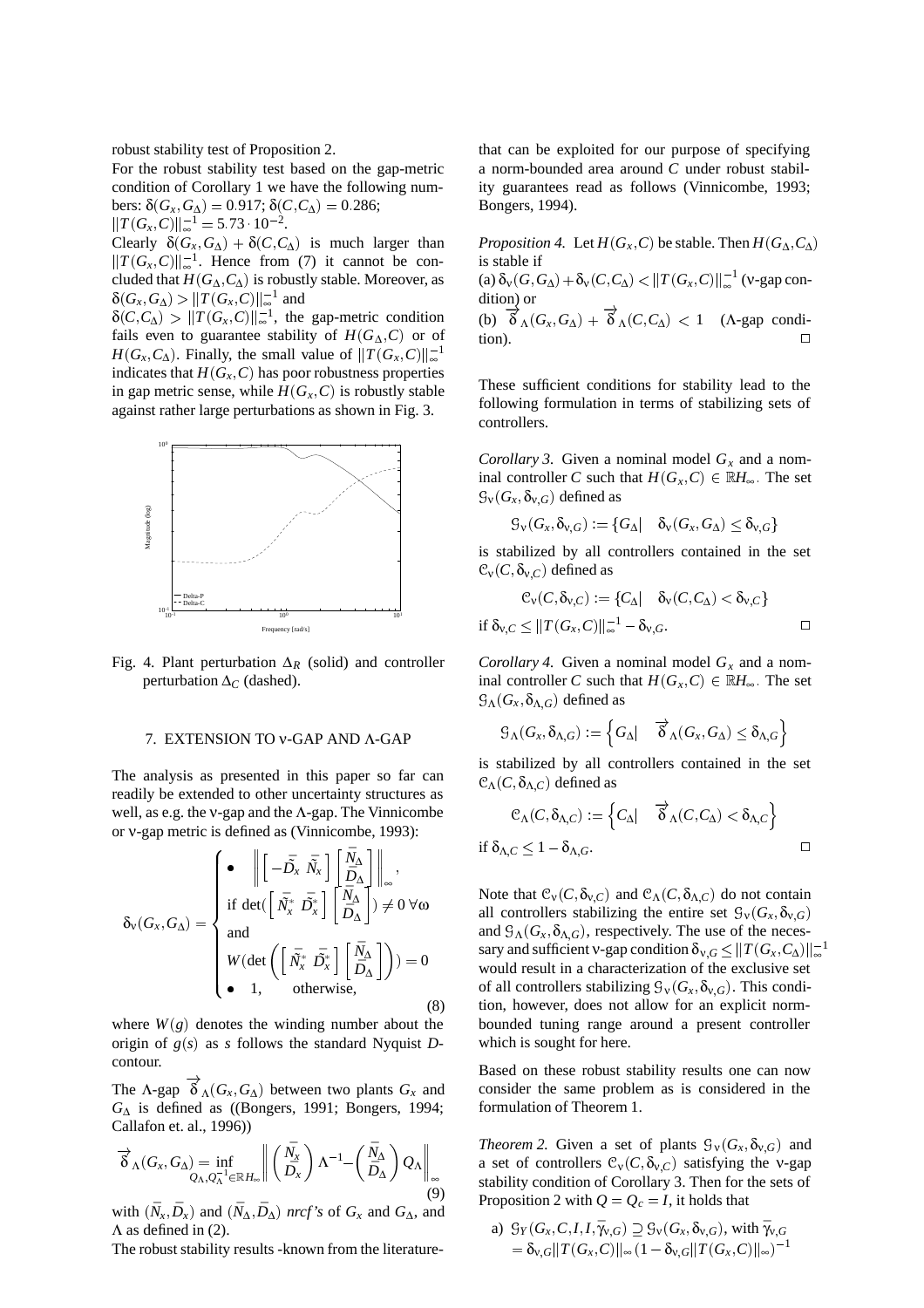robust stability test of Proposition 2.

For the robust stability test based on the gap-metric condition of Corollary 1 we have the following num- $\text{bers: } δ(G_x, G_{\Delta}) = 0.917; δ(C, C_{\Delta}) = 0.286;$  $||T(G_x, C)||_{\infty}^{-1} = 5.73 \cdot 10^{-2}.$ 

Clearly  $\delta(G_x, G_{\Delta}) + \delta(C, C_{\Delta})$  is much larger than  $||T(G_x, C)||_{∞}^{-1}$ . Hence from (7) it cannot be concluded that  $H(G_\Lambda, C_\Lambda)$  is robustly stable. Moreover, as  $\delta(G_x, G_{\Delta}) > ||T(G_x, C)||_{\infty}^{-1}$  and

 $\delta(C, C_{\Delta}) > ||T(G_{x}, C)||_{\infty}^{-1}$ , the gap-metric condition fails even to guarantee stability of  $H(G_\Delta, C)$  or of *H*(*G<sub>x</sub>*, *C*<sub> $\triangle$ </sub>). Finally, the small value of  $||T(G_x, C)||_{\infty}^{-1}$ indicates that  $H(G_X, C)$  has poor robustness properties in gap metric sense, while  $H(G_x, C)$  is robustly stable against rather large perturbations as shown in Fig. 3.



Fig. 4. Plant perturbation  $\Delta_R$  (solid) and controller perturbation ∆*<sup>C</sup>* (dashed).

## 7. EXTENSION TO ν-GAP AND Λ-GAP

The analysis as presented in this paper so far can readily be extended to other uncertainty structures as well, as e.g. the ν-gap and the Λ-gap. The Vinnicombe or ν-gap metric is defined as (Vinnicombe, 1993):

$$
\delta_{\mathbf{v}}(G_{x}, G_{\Delta}) = \begin{cases}\n\bullet & \left\| \begin{bmatrix} -\bar{D}_{x} & \bar{N}_{x} \end{bmatrix} \begin{bmatrix} \bar{N}_{\Delta} \\ \bar{D}_{\Delta} \end{bmatrix} \right\|_{\infty}, \\
\text{if } \det \left( \begin{bmatrix} \bar{N}_{x}^{*} & \bar{D}_{x}^{*} \end{bmatrix} \begin{bmatrix} \bar{N}_{\Delta} \\ \bar{D}_{\Delta} \end{bmatrix} \right) \neq 0 \,\forall \omega \\
\text{and} \\
W(\det \left( \begin{bmatrix} \bar{N}_{x}^{*} & \bar{D}_{x}^{*} \end{bmatrix} \begin{bmatrix} \bar{N}_{\Delta} \\ \bar{D}_{\Delta} \end{bmatrix} \right) ) = 0 \\
\bullet & 1, \qquad \text{otherwise}, \qquad (8)
$$

where  $W(g)$  denotes the winding number about the origin of *g*(*s*) as *s* follows the standard Nyquist *D*contour.

The  $\Lambda$ -gap  $\overrightarrow{\delta}_{\Lambda}(G_{x}, G_{\Delta})$  between two plants  $G_{x}$  and *G*<sup>∆</sup> is defined as ((Bongers, 1991; Bongers, 1994; Callafon et. al., 1996))

$$
\overrightarrow{\delta}_{\Lambda}(G_{x}, G_{\Delta}) = \inf_{Q_{\Lambda}, Q_{\Lambda}^{-1} \in \mathbb{R} H_{\infty}} \left\| \left( \frac{\overline{N}_{x}}{\overline{D}_{x}} \right) \Lambda^{-1} - \left( \frac{\overline{N}_{\Delta}}{\overline{D}_{\Delta}} \right) Q_{\Lambda} \right\|_{\infty} \quad \text{at } \text{stab} \atop \text{stab} \quad (9)
$$

with  $(\bar{N}_x, \bar{D}_x)$  and  $(\bar{N}_\Delta, \bar{D}_\Delta)$  *nrcf's* of  $G_x$  and  $G_\Delta$ , and  $\Lambda$  as defined in (2).

The robust stability results -known from the literature-

that can be exploited for our purpose of specifying a norm-bounded area around *C* under robust stability guarantees read as follows (Vinnicombe, 1993; Bongers, 1994).

*Proposition 4.* Let  $H(G_x, C)$  be stable. Then  $H(G_A, C_A)$ is stable if (a)  $\delta_{\rm v}(G, G_{\Delta}) + \delta_{\rm v}(C, C_{\Delta}) < ||T(G_{\rm x}, C)||_{\infty}^{-1}$  (v-gap condition) or (b)  $\overrightarrow{\delta}_{\Lambda}(G_x, G_{\Delta}) + \overrightarrow{\delta}_{\Lambda}(C, C_{\Delta}) < 1$  ( $\Lambda$ -gap condition).  $\Box$ 

These sufficient conditions for stability lead to the following formulation in terms of stabilizing sets of controllers.

*Corollary 3.* Given a nominal model  $G_x$  and a nominal controller *C* such that  $H(G_x, C) \in \mathbb{R}$ *H*<sub>∞</sub>. The set  $\mathcal{G}_{\nu}(G_{x}, \delta_{\nu,G})$  defined as

$$
\c\mathcal{G}_{\nu}(G_{x},\delta_{\nu,G}):=\{G_{\Delta}| \quad \delta_{\nu}(G_{x},G_{\Delta}) \leq \delta_{\nu,G}\}
$$

is stabilized by all controllers contained in the set  $\mathcal{C}_{\text{v}}(C, \delta_{\text{v}})$  defined as

$$
\mathcal{C}_{\mathsf{v}}(C,\delta_{\mathsf{v},C}) := \{C_{\Delta} | \quad \delta_{\mathsf{v}}(C,C_{\Delta}) < \delta_{\mathsf{v},C} \}
$$
  
if  $\delta_{\mathsf{v},C} \le ||T(G_{x},C)||_{\infty}^{-1} - \delta_{\mathsf{v},G}.$ 

*Corollary 4.* Given a nominal model  $G_x$  and a nominal controller *C* such that  $H(G_x, C) \in \mathbb{R}$ *H*<sub>∞</sub>. The set  $\mathcal{G}_{\Lambda}(G_{x}, \delta_{\Lambda, G})$  defined as

<sup>G</sup>Λ(*Gx*; δΛ;*G*) :<sup>=</sup> <sup>n</sup> *<sup>G</sup>*<sup>∆</sup> <sup>j</sup> ! <sup>δ</sup> <sup>Λ</sup>(*Gx* ; *<sup>G</sup>*∆) δΛ;*G*<sup>o</sup>

is stabilized by all controllers contained in the set  $\mathcal{C}_{\Lambda}(C,\delta_{\Lambda,C})$  defined as

$$
\mathcal{C}_{\Lambda}(C,\delta_{\Lambda,C}) := \left\{ C_{\Delta} | \quad \overrightarrow{\delta}_{\Lambda}(C,C_{\Delta}) < \delta_{\Lambda,C} \right\}
$$
  
if  $\delta_{\Lambda,C} \leq 1 - \delta_{\Lambda,G}.$ 

 $(0,0) = 0$  would result in a characterization of the exclusive set Note that  $C_V(C, \delta_{V,C})$  and  $C_\Lambda(C, \delta_{\Lambda,C})$  do not contain all controllers stabilizing the entire set  $\mathcal{G}_{\nu}(G_{x}, \delta_{\nu,G})$ and  $\mathcal{G}_{\Lambda}(G_{x}, \delta_{\Lambda,G})$ , respectively. The use of the necessary and sufficient v-gap condition  $\delta_{\nu,G} \leq ||T(G_x,C_{\Delta})||_{\infty}^{-1}$ of all controllers stabilizing  $\mathcal{G}_{\nu}(G_{x}, \delta_{\nu,G})$ . This condition, however, does not allow for an explicit normbounded tuning range around a present controller which is sought for here.

> Based on these robust stability results one can now consider the same problem as is considered in the formulation of Theorem 1.

*Theorem 2.* Given a set of plants  $\mathcal{G}_{\nu}(G_x, \delta_{\nu,G})$  and a set of controllers  $C_v(C, \delta_{v,C})$  satisfying the v-gap  $\frac{\mathbb{S}_{\infty}}{2}$  stability condition of Corollary 3. Then for the sets of Proposition 2 with  $Q = Q_c = I$ , it holds that

> a)  $\mathcal{G}_Y(G_x, C, I, I, \bar{\gamma}_{V,G}) \supseteq \mathcal{G}_Y(G_x, \delta_{V,G})$ , with  $\bar{\gamma}_{V,G}$  $= \delta_{v,G} ||T(G_x, C)||_{\infty} (1 - \delta_{v,G} ||T(G_x, C)||_{\infty})^{-1}$